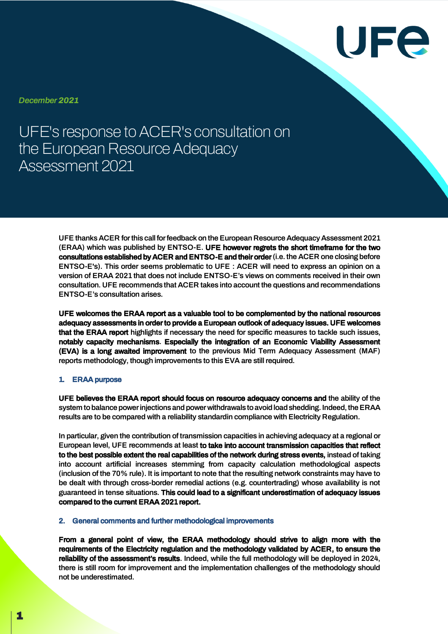

*December 2021*

UFE's response to ACER's consultation on the European Resource Adequacy Assessment 2021

> UFE thanks ACER for this call for feedback on the European Resource Adequacy Assessment 2021 (ERAA) which was published by ENTSO-E. UFE however regrets the short timeframe for the two consultations established by ACER and ENTSO-E and their order (i.e. the ACER one closing before ENTSO-E's). This order seems problematic to UFE : ACER will need to express an opinion on a version of ERAA 2021 that does not include ENTSO-E's views on comments received in their own consultation. UFE recommends that ACER takes into account the questions and recommendations ENTSO-E's consultation arises.

> UFE welcomes the ERAA report as a valuable tool to be complemented by the national resources adequacy assessments in order to provide a European outlook of adequacy issues. UFE welcomes that the ERAA report highlights if necessary the need for specific measures to tackle such issues, notably capacity mechanisms. Especially the integration of an Economic Viability Assessment (EVA) is a long awaited improvement to the previous Mid Term Adequacy Assessment (MAF) reports methodology, though improvements to this EVA are still required.

## 1. ERAA purpose

UFE believes the ERAA report should focus on resource adequacy concerns and the ability of the system to balance power injections and power withdrawals to avoid load shedding. Indeed, the ERAA results are to be compared with a reliability standardin compliance with Electricity Regulation.

In particular, given the contribution of transmission capacities in achieving adequacy at a regional or European level, UFE recommends at least to take into account transmission capacities that reflect to the best possible extent the real capabilities of the network during stress events, instead of taking into account artificial increases stemming from capacity calculation methodological aspects (inclusion of the 70% rule). It is important to note that the resulting network constraints may have to be dealt with through cross-border remedial actions (e.g. countertrading) whose availability is not guaranteed in tense situations. This could lead to a significant underestimation of adequacy issues compared to the current ERAA 2021 report.

## 2. General comments and further methodological improvements

From a general point of view, the ERAA methodology should strive to align more with the requirements of the Electricity regulation and the methodology validated by ACER, to ensure the reliability of the assessment's results. Indeed, while the full methodology will be deployed in 2024, there is still room for improvement and the implementation challenges of the methodology should not be underestimated.